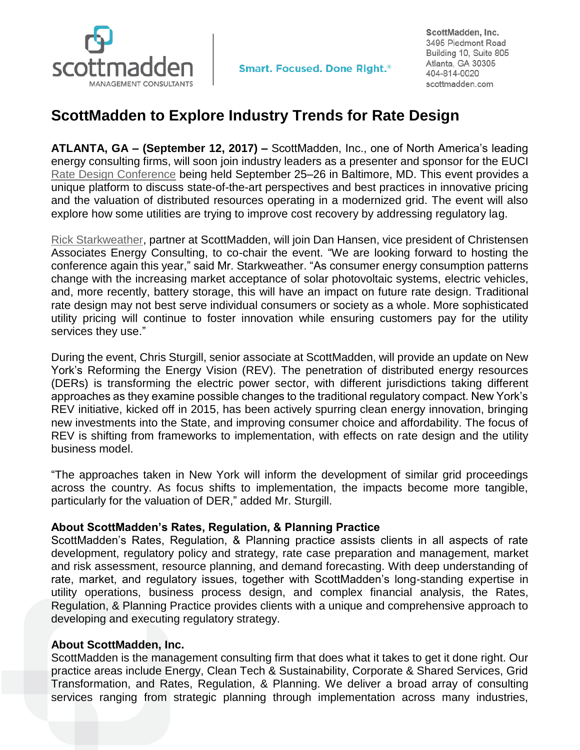

**Smart. Focused. Done Right.**<sup>®</sup>

ScottMadden, Inc. 3495 Piedmont Road Building 10, Suite 805 Atlanta, GA 30305 404-814-0020 scottmadden.com

## **ScottMadden to Explore Industry Trends for Rate Design**

**ATLANTA, GA – (September 12, 2017) –** ScottMadden, Inc., one of North America's leading energy consulting firms, will soon join industry leaders as a presenter and sponsor for the EUCI [Rate Design Conference](https://www.euci.com/event_post/0917-rate-design-conference/) being held September 25–26 in Baltimore, MD. This event provides a unique platform to discuss state-of-the-art perspectives and best practices in innovative pricing and the valuation of distributed resources operating in a modernized grid. The event will also explore how some utilities are trying to improve cost recovery by addressing regulatory lag.

[Rick Starkweather,](https://www.scottmadden.com/person/rick-starkweather/) partner at ScottMadden, will join Dan Hansen, vice president of Christensen Associates Energy Consulting, to co-chair the event. "We are looking forward to hosting the conference again this year," said Mr. Starkweather. "As consumer energy consumption patterns change with the increasing market acceptance of solar photovoltaic systems, electric vehicles, and, more recently, battery storage, this will have an impact on future rate design. Traditional rate design may not best serve individual consumers or society as a whole. More sophisticated utility pricing will continue to foster innovation while ensuring customers pay for the utility services they use."

During the event, Chris Sturgill, senior associate at ScottMadden, will provide an update on New York's Reforming the Energy Vision (REV). The penetration of distributed energy resources (DERs) is transforming the electric power sector, with different jurisdictions taking different approaches as they examine possible changes to the traditional regulatory compact. New York's REV initiative, kicked off in 2015, has been actively spurring clean energy innovation, bringing new investments into the State, and improving consumer choice and affordability. The focus of REV is shifting from frameworks to implementation, with effects on rate design and the utility business model.

"The approaches taken in New York will inform the development of similar grid proceedings across the country. As focus shifts to implementation, the impacts become more tangible, particularly for the valuation of DER," added Mr. Sturgill.

## **About ScottMadden's Rates, Regulation, & Planning Practice**

ScottMadden's Rates, Regulation, & Planning practice assists clients in all aspects of rate development, regulatory policy and strategy, rate case preparation and management, market and risk assessment, resource planning, and demand forecasting. With deep understanding of rate, market, and regulatory issues, together with ScottMadden's long-standing expertise in utility operations, business process design, and complex financial analysis, the Rates, Regulation, & Planning Practice provides clients with a unique and comprehensive approach to developing and executing regulatory strategy.

## **About ScottMadden, Inc.**

ScottMadden is the management consulting firm that does what it takes to get it done right. Our practice areas include Energy, Clean Tech & Sustainability, Corporate & Shared Services, Grid Transformation, and Rates, Regulation, & Planning. We deliver a broad array of consulting services ranging from strategic planning through implementation across many industries,